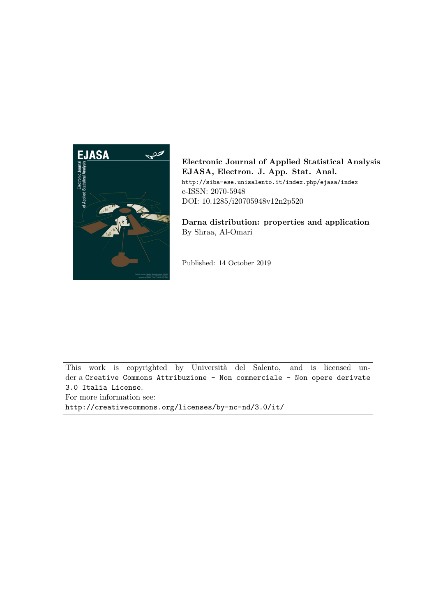

Electronic Journal of Applied Statistical Analysis EJASA, Electron. J. App. Stat. Anal. http://siba-ese.unisalento.it/index.php/ejasa/index e-ISSN: 2070-5948 DOI: 10.1285/i20705948v12n2p520

Darna distribution: properties and application By Shraa, Al-Omari

Published: 14 October 2019

This work is copyrighted by Università del Salento, and is licensed under a Creative Commons Attribuzione - Non commerciale - Non opere derivate 3.0 Italia License.

For more information see:

http://creativecommons.org/licenses/by-nc-nd/3.0/it/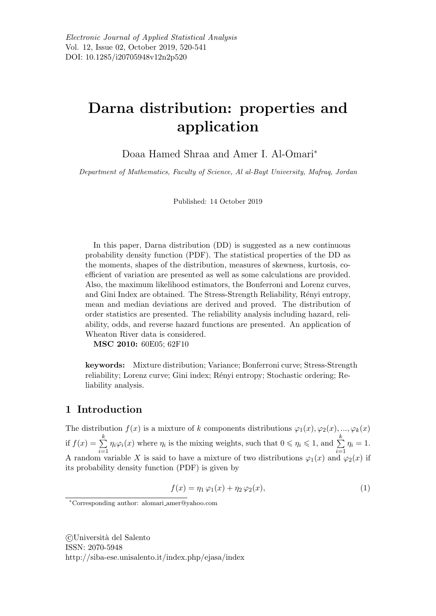# Darna distribution: properties and application

Doaa Hamed Shraa and Amer I. Al-Omari<sup>∗</sup>

Department of Mathematics, Faculty of Science, Al al-Bayt University, Mafraq, Jordan

Published: 14 October 2019

In this paper, Darna distribution (DD) is suggested as a new continuous probability density function (PDF). The statistical properties of the DD as the moments, shapes of the distribution, measures of skewness, kurtosis, coefficient of variation are presented as well as some calculations are provided. Also, the maximum likelihood estimators, the Bonferroni and Lorenz curves, and Gini Index are obtained. The Stress-Strength Reliability, Rényi entropy, mean and median deviations are derived and proved. The distribution of order statistics are presented. The reliability analysis including hazard, reliability, odds, and reverse hazard functions are presented. An application of Wheaton River data is considered.

MSC 2010: 60E05; 62F10

keywords: Mixture distribution; Variance; Bonferroni curve; Stress-Strength reliability; Lorenz curve; Gini index; Rényi entropy; Stochastic ordering; Reliability analysis.

## 1 Introduction

The distribution  $f(x)$  is a mixture of k components distributions  $\varphi_1(x), \varphi_2(x), ..., \varphi_k(x)$ if  $f(x) = \sum_{k=1}^{k}$  $i=1$  $\eta_i\varphi_i(x)$  where  $\eta_i$  is the mixing weights, such that  $0 \leq \eta_i \leq 1$ , and  $\sum^k$  $i=1$  $\eta_i=1.$ A random variable X is said to have a mixture of two distributions  $\varphi_1(x)$  and  $\varphi_2(x)$  if its probability density function (PDF) is given by

$$
f(x) = \eta_1 \varphi_1(x) + \eta_2 \varphi_2(x),\tag{1}
$$

 c Universit`a del Salento ISSN: 2070-5948 http://siba-ese.unisalento.it/index.php/ejasa/index

<sup>∗</sup>Corresponding author: alomari amer@yahoo.com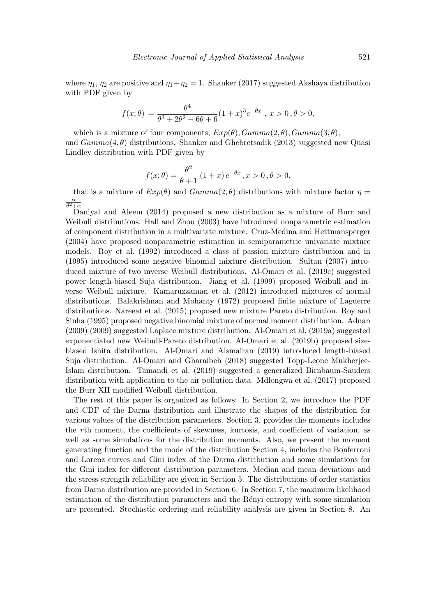where  $\eta_1$ ,  $\eta_2$  are positive and  $\eta_1 + \eta_2 = 1$ . Shanker (2017) suggested Akshaya distribution with PDF given by

$$
f(x; \theta) = \frac{\theta^4}{\theta^3 + 2\theta^2 + 6\theta + 6} (1+x)^3 e^{-\theta x}, \, x > 0, \theta > 0,
$$

which is a mixture of four components,  $Exp(\theta)$ ,  $Gamma(2, \theta)$ ,  $Gamma(3, \theta)$ , and  $Gamma(4, \theta)$  distributions. Shanker and Ghebretsadik (2013) suggested new Quasi Lindley distribution with PDF given by

$$
f(x; \theta) = \frac{\theta^2}{\theta + 1} (1 + x) e^{-\theta x}, x > 0, \theta > 0,
$$

that is a mixture of  $Exp(\theta)$  and  $Gamma(2, \theta)$  distributions with mixture factor  $\eta =$ α  $\frac{\alpha}{\theta^2+\alpha}$ .

Daniyal and Aleem (2014) proposed a new distribution as a mixture of Burr and Weibull distributions. Hall and Zhou (2003) have introduced nonparametric estimation of component distribution in a multivariate mixture. Cruz-Medina and Hettmansperger (2004) have proposed nonparametric estimation in semiparametric univariate mixture models. Roy et al. (1992) introduced a class of passion mixture distribution and in (1995) introduced some negative binomial mixture distribution. Sultan (2007) introduced mixture of two inverse Weibull distributions. Al-Omari et al. (2019c) suggested power length-biased Suja distribution. Jiang et al. (1999) proposed Weibull and inverse Weibull mixture. Kamaruzzaman et al. (2012) introduced mixtures of normal distributions. Balakrishnan and Mohanty (1972) proposed finite mixture of Laguerre distributions. Nareeat et al. (2015) proposed new mixture Pareto distribution. Roy and Sinha (1995) proposed negative binomial mixture of normal moment distribution. Adnan (2009) (2009) suggested Laplace mixture distribution. Al-Omari et al. (2019a) suggested exponentiated new Weibull-Pareto distribution. Al-Omari et al. (2019b) proposed sizebiased Ishita distribution. Al-Omari and Alsmairan (2019) introduced length-biased Suja distribution. Al-Omari and Gharaibeh (2018) suggested Topp-Leone Mukherjee-Islam distribution. Tamandi et al. (2019) suggested a generalized Birnbaum-Sauders distribution with application to the air pollution data. Mdlongwa et al. (2017) proposed the Burr XII modified Weibull distribution.

The rest of this paper is organized as follows: In Section 2, we introduce the PDF and CDF of the Darna distribution and illustrate the shapes of the distribution for various values of the distribution parameters. Section 3, provides the moments includes the rth moment, the coefficients of skewness, kurtosis, and coefficient of variation, as well as some simulations for the distribution moments. Also, we present the moment generating function and the mode of the distribution Section 4, includes the Bonferroni and Lorenz curves and Gini index of the Darna distribution and some simulations for the Gini index for different distribution parameters. Median and mean deviations and the stress-strength reliability are given in Section 5. The distributions of order statistics from Darna distribution are provided in Section 6. In Section 7, the maximum likelihood estimation of the distribution parameters and the Rényi entropy with some simulation are presented. Stochastic ordering and reliability analysis are given in Section 8. An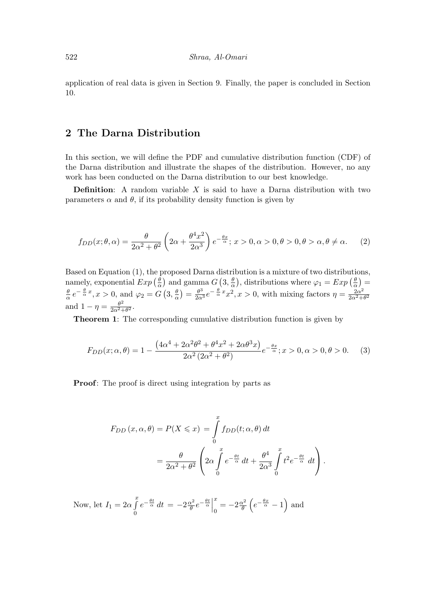application of real data is given in Section 9. Finally, the paper is concluded in Section 10.

## 2 The Darna Distribution

In this section, we will define the PDF and cumulative distribution function (CDF) of the Darna distribution and illustrate the shapes of the distribution. However, no any work has been conducted on the Darna distribution to our best knowledge.

**Definition:** A random variable  $X$  is said to have a Darna distribution with two parameters  $\alpha$  and  $\theta$ , if its probability density function is given by

$$
f_{DD}(x; \theta, \alpha) = \frac{\theta}{2\alpha^2 + \theta^2} \left( 2\alpha + \frac{\theta^4 x^2}{2\alpha^3} \right) e^{-\frac{\theta x}{\alpha}}; \ x > 0, \alpha > 0, \theta > 0, \theta > \alpha, \theta \neq \alpha.
$$
 (2)

Based on Equation (1), the proposed Darna distribution is a mixture of two distributions, namely, exponential  $Exp\left(\frac{\theta}{\alpha}\right)$  $\frac{\theta}{\alpha}$ ) and gamma  $G$  (3,  $\frac{\theta}{\alpha}$  $\frac{\theta}{\alpha}$ , distributions where  $\varphi_1 = Exp\left(\frac{\theta}{\alpha}\right)$  $\frac{\theta}{\alpha}$ ) = θ  $\frac{\theta}{\alpha} e^{-\frac{\theta}{\alpha}x}, x > 0$ , and  $\varphi_2 = G(3, \frac{\theta}{\alpha})$  $\frac{\theta}{\alpha}$ ) =  $\frac{\theta^3}{2\alpha^3}e^{-\frac{\theta}{\alpha}x^2}x^2, x > 0$ , with mixing factors  $\eta = \frac{2\alpha^2}{2\alpha^2 + 1}$  $\sqrt{2\alpha^2+\theta^2}$ and  $1 - \eta = \frac{\theta^2}{2\alpha^2-1}$  $\frac{\theta^2}{2\alpha^2+\theta^2}.$ 

Theorem 1: The corresponding cumulative distribution function is given by

$$
F_{DD}(x; \alpha, \theta) = 1 - \frac{\left(4\alpha^4 + 2\alpha^2\theta^2 + \theta^4x^2 + 2\alpha\theta^3x\right)}{2\alpha^2\left(2\alpha^2 + \theta^2\right)}e^{-\frac{\theta x}{\alpha}}; x > 0, \alpha > 0, \theta > 0.
$$
 (3)

**Proof:** The proof is direct using integration by parts as

$$
F_{DD}(x, \alpha, \theta) = P(X \leq x) = \int_{0}^{x} f_{DD}(t; \alpha, \theta) dt
$$
  
= 
$$
\frac{\theta}{2\alpha^2 + \theta^2} \left( 2\alpha \int_{0}^{x} e^{-\frac{\theta t}{\alpha}} dt + \frac{\theta^4}{2\alpha^3} \int_{0}^{x} t^2 e^{-\frac{\theta t}{\alpha}} dt \right).
$$

Now, let  $I_1 = 2\alpha \int_a^x$ 0  $e^{-\frac{\theta t}{\alpha}} dt = -2\frac{\alpha^2}{\theta}$  $\frac{\alpha^2}{\theta}e^{-\frac{\theta t}{\alpha}}\Big|$ x  $\frac{x}{0} = -2\frac{\alpha^2}{\theta}$  $\frac{\alpha^2}{\theta}\left(e^{-\frac{\theta x}{\alpha}}-1\right)$  and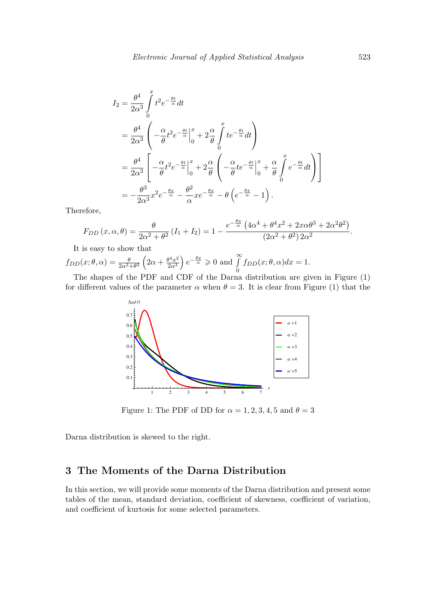$$
I_2 = \frac{\theta^4}{2\alpha^3} \int_0^x t^2 e^{-\frac{\theta t}{\alpha}} dt
$$
  
\n
$$
= \frac{\theta^4}{2\alpha^3} \left( -\frac{\alpha}{\theta} t^2 e^{-\frac{\theta t}{\alpha}} \Big|_0^x + 2\frac{\alpha}{\theta} \int_0^x t e^{-\frac{\theta t}{\alpha}} dt \right)
$$
  
\n
$$
= \frac{\theta^4}{2\alpha^3} \left[ -\frac{\alpha}{\theta} t^2 e^{-\frac{\theta t}{\alpha}} \Big|_0^x + 2\frac{\alpha}{\theta} \left( -\frac{\alpha}{\theta} t e^{-\frac{\theta t}{\alpha}} \Big|_0^x + \frac{\alpha}{\theta} \int_0^x e^{-\frac{\theta t}{\alpha}} dt \right) \right]
$$
  
\n
$$
= -\frac{\theta^3}{2\alpha^3} x^2 e^{-\frac{\theta x}{\alpha}} - \frac{\theta^2}{\alpha} x e^{-\frac{\theta x}{\alpha}} - \theta \left( e^{-\frac{\theta x}{\alpha}} - 1 \right).
$$

Therefore,

$$
F_{DD}(x,\alpha,\theta) = \frac{\theta}{2\alpha^2 + \theta^2} (I_1 + I_2) = 1 - \frac{e^{-\frac{\theta x}{\alpha}} (4\alpha^4 + \theta^4 x^2 + 2x\alpha\theta^3 + 2\alpha^2\theta^2)}{(2\alpha^2 + \theta^2) 2\alpha^2}.
$$

It is easy to show that

 $f_{DD}(x;\theta,\alpha) = \frac{\theta}{2\alpha^2+\theta^2} \left(2\alpha + \frac{\theta^4 x^2}{2\alpha^3}\right)$  $\left(\frac{2a^{3}}{2\alpha^{3}}\right)e^{-\frac{\theta x}{\alpha}} \geqslant 0$  and  $\int_{a}^{\infty}$ 0  $f_{DD}(x; \theta, \alpha)dx = 1.$ 

The shapes of the PDF and CDF of the Darna distribution are given in Figure (1) for different values of the parameter  $\alpha$  when  $\theta = 3$ . It is clear from Figure (1) that the



Figure 1: The PDF of DD for  $\alpha = 1, 2, 3, 4, 5$  and  $\theta = 3$ 

Darna distribution is skewed to the right.

## 3 The Moments of the Darna Distribution

In this section, we will provide some moments of the Darna distribution and present some tables of the mean, standard deviation, coefficient of skewness, coefficient of variation, and coefficient of kurtosis for some selected parameters.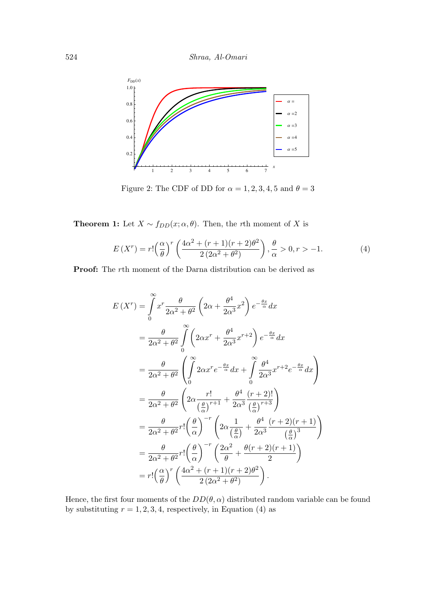524 Shraa, Al-Omari



Figure 2: The CDF of DD for  $\alpha = 1, 2, 3, 4, 5$  and  $\theta = 3$ 

**Theorem 1:** Let  $X \sim f_{DD}(x; \alpha, \theta)$ . Then, the *r*th moment of X is

$$
E(Xr) = r! \left(\frac{\alpha}{\theta}\right)^r \left(\frac{4\alpha^2 + (r+1)(r+2)\theta^2}{2(2\alpha^2 + \theta^2)}\right), \frac{\theta}{\alpha} > 0, r > -1.
$$
 (4)

Proof: The rth moment of the Darna distribution can be derived as

$$
E(X^{r}) = \int_{0}^{\infty} x^{r} \frac{\theta}{2\alpha^{2} + \theta^{2}} \left( 2\alpha + \frac{\theta^{4}}{2\alpha^{3}} x^{2} \right) e^{-\frac{\theta x}{\alpha}} dx
$$
  
\n
$$
= \frac{\theta}{2\alpha^{2} + \theta^{2}} \int_{0}^{\infty} \left( 2\alpha x^{r} + \frac{\theta^{4}}{2\alpha^{3}} x^{r+2} \right) e^{-\frac{\theta x}{\alpha}} dx
$$
  
\n
$$
= \frac{\theta}{2\alpha^{2} + \theta^{2}} \left( \int_{0}^{\infty} 2\alpha x^{r} e^{-\frac{\theta x}{\alpha}} dx + \int_{0}^{\infty} \frac{\theta^{4}}{2\alpha^{3}} x^{r+2} e^{-\frac{\theta x}{\alpha}} dx \right)
$$
  
\n
$$
= \frac{\theta}{2\alpha^{2} + \theta^{2}} \left( 2\alpha \frac{r!}{\left(\frac{\theta}{\alpha}\right)^{r+1}} + \frac{\theta^{4}}{2\alpha^{3}} \frac{(r+2)!}{\left(\frac{\theta}{\alpha}\right)^{r+3}} \right)
$$
  
\n
$$
= \frac{\theta}{2\alpha^{2} + \theta^{2}} r! \left( \frac{\theta}{\alpha} \right)^{-r} \left( 2\alpha \frac{1}{\left(\frac{\theta}{\alpha}\right)} + \frac{\theta^{4}}{2\alpha^{3}} \frac{(r+2)(r+1)}{\left(\frac{\theta}{\alpha}\right)^{3}} \right)
$$
  
\n
$$
= \frac{\theta}{2\alpha^{2} + \theta^{2}} r! \left( \frac{\theta}{\alpha} \right)^{-r} \left( \frac{2\alpha^{2}}{\theta} + \frac{\theta(r+2)(r+1)}{2} \right)
$$
  
\n
$$
= r! \left( \frac{\alpha}{\theta} \right)^{r} \left( \frac{4\alpha^{2} + (r+1)(r+2)\theta^{2}}{2(2\alpha^{2} + \theta^{2})} \right).
$$

Hence, the first four moments of the  $DD(\theta, \alpha)$  distributed random variable can be found by substituting  $r = 1, 2, 3, 4$ , respectively, in Equation (4) as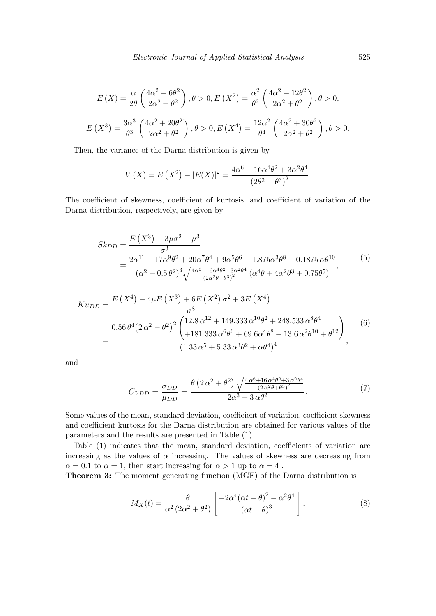$$
E(X) = \frac{\alpha}{2\theta} \left( \frac{4\alpha^2 + 6\theta^2}{2\alpha^2 + \theta^2} \right), \theta > 0, E(X^2) = \frac{\alpha^2}{\theta^2} \left( \frac{4\alpha^2 + 12\theta^2}{2\alpha^2 + \theta^2} \right), \theta > 0,
$$
  

$$
E(X^3) = \frac{3\alpha^3}{\theta^3} \left( \frac{4\alpha^2 + 20\theta^2}{2\alpha^2 + \theta^2} \right), \theta > 0, E(X^4) = \frac{12\alpha^2}{\theta^4} \left( \frac{4\alpha^2 + 30\theta^2}{2\alpha^2 + \theta^2} \right), \theta > 0.
$$

Then, the variance of the Darna distribution is given by

$$
V(X) = E(X^{2}) - [E(X)]^{2} = \frac{4\alpha^{6} + 16\alpha^{4}\theta^{2} + 3\alpha^{2}\theta^{4}}{(2\theta^{2} + \theta^{3})^{2}}.
$$

The coefficient of skewness, coefficient of kurtosis, and coefficient of variation of the Darna distribution, respectively, are given by

$$
Sk_{DD} = \frac{E(X^3) - 3\mu\sigma^2 - \mu^3}{\sigma^3}
$$
  
= 
$$
\frac{2\alpha^{11} + 17\alpha^9\theta^2 + 20\alpha^7\theta^4 + 9\alpha^5\theta^6 + 1.875\alpha^3\theta^8 + 0.1875\alpha\theta^{10}}{(\alpha^2 + 0.5\theta^2)^3 \sqrt{\frac{4\alpha^6 + 16\alpha^4\theta^2 + 3\alpha^2\theta^4}{(2\alpha^2\theta + \theta^3)^2}} (\alpha^4\theta + 4\alpha^2\theta^3 + 0.75\theta^5)},
$$
(5)

$$
K u_{DD} = \frac{E(X^4) - 4\mu E(X^3) + 6E(X^2) \sigma^2 + 3E(X^4)}{\sigma^8}
$$
  
= 
$$
\frac{0.56 \theta^4 (2 \alpha^2 + \theta^2)^2 \left(12.8 \alpha^{12} + 149.333 \alpha^{10} \theta^2 + 248.533 \alpha^8 \theta^4 + 181.333 \alpha^6 \theta^6 + 69.6 \alpha^4 \theta^8 + 13.6 \alpha^2 \theta^{10} + \theta^{12}\right)}{(1.33 \alpha^5 + 5.33 \alpha^3 \theta^2 + \alpha \theta^4)^4},
$$
 (6)

and

$$
Cv_{DD} = \frac{\sigma_{DD}}{\mu_{DD}} = \frac{\theta \left(2 \alpha^2 + \theta^2\right) \sqrt{\frac{4 \alpha^6 + 16 \alpha^4 \theta^2 + 3 \alpha^2 \theta^4}{(2 \alpha^2 \theta + \theta^3)^2}}}{2 \alpha^3 + 3 \alpha \theta^2}.
$$
 (7)

Some values of the mean, standard deviation, coefficient of variation, coefficient skewness and coefficient kurtosis for the Darna distribution are obtained for various values of the parameters and the results are presented in Table (1).

Table (1) indicates that the mean, standard deviation, coefficients of variation are increasing as the values of  $\alpha$  increasing. The values of skewness are decreasing from  $\alpha = 0.1$  to  $\alpha = 1$ , then start increasing for  $\alpha > 1$  up to  $\alpha = 4$ .

Theorem 3: The moment generating function (MGF) of the Darna distribution is

$$
M_X(t) = \frac{\theta}{\alpha^2 (2\alpha^2 + \theta^2)} \left[ \frac{-2\alpha^4 (\alpha t - \theta)^2 - \alpha^2 \theta^4}{(\alpha t - \theta)^3} \right].
$$
 (8)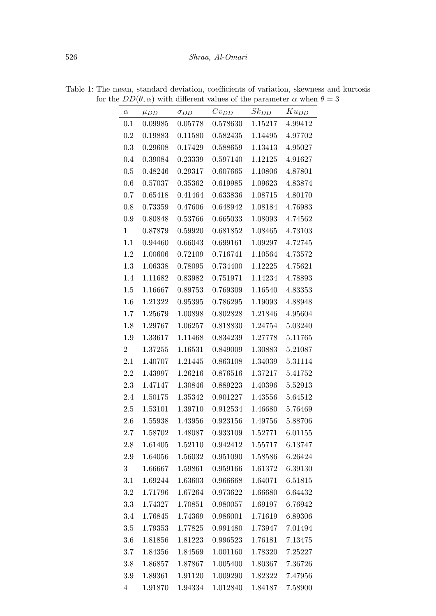| $\alpha$       | $\mu_{DD}$ | $\sigma_{DD}$ | $Cv_{DD}$        | $Sk_{DD}$ | $Ku_{DD}$       |
|----------------|------------|---------------|------------------|-----------|-----------------|
| 0.1            | 0.09985    | 0.05778       | 0.578630         | 1.15217   | 4.99412         |
| $0.2\,$        | 0.19883    | 0.11580       | 0.582435         | 1.14495   | 4.97702         |
| 0.3            | 0.29608    | 0.17429       | 0.588659         | 1.13413   | 4.95027         |
| 0.4            | 0.39084    | 0.23339       | 0.597140         | 1.12125   | 4.91627         |
| 0.5            | 0.48246    | 0.29317       | 0.607665         | 1.10806   | 4.87801         |
| $0.6\,$        | 0.57037    | 0.35362       | 0.619985         | 1.09623   | 4.83874         |
| $0.7\,$        | 0.65418    | 0.41464       | 0.633836         | 1.08715   | 4.80170         |
| 0.8            | 0.73359    | 0.47606       | 0.648942         | 1.08184   | 4.76983         |
| 0.9            | 0.80848    | 0.53766       | 0.665033         | 1.08093   | 4.74562         |
| 1              | 0.87879    | 0.59920       | 0.681852         | 1.08465   | 4.73103         |
| 1.1            | 0.94460    | 0.66043       | 0.699161         | 1.09297   | 4.72745         |
| 1.2            | 1.00606    | 0.72109       | 0.716741         | 1.10564   | 4.73572         |
| 1.3            | 1.06338    | 0.78095       | 0.734400         | 1.12225   | 4.75621         |
| 1.4            | 1.11682    | 0.83982       | 0.751971         | 1.14234   | 4.78893         |
| $1.5\,$        | 1.16667    | 0.89753       | 0.769309         | 1.16540   | 4.83353         |
| 1.6            | 1.21322    | 0.95395       | 0.786295         | 1.19093   | 4.88948         |
| 1.7            | 1.25679    | 1.00898       | 0.802828         | 1.21846   | 4.95604         |
| 1.8            | 1.29767    | 1.06257       | 0.818830         | 1.24754   | 5.03240         |
| $1.9\,$        | 1.33617    | 1.11468       | 0.834239         | 1.27778   | 5.11765         |
| $\overline{2}$ | 1.37255    | 1.16531       | 0.849009         | 1.30883   | 5.21087         |
| 2.1            | 1.40707    | 1.21445       | 0.863108         | 1.34039   | 5.31114         |
| $2.2\,$        | 1.43997    | 1.26216       | 0.876516         | 1.37217   | 5.41752         |
| 2.3            | 1.47147    | 1.30846       | 0.889223         | 1.40396   | 5.52913         |
| 2.4            | 1.50175    | 1.35342       | 0.901227         | 1.43556   | 5.64512         |
| $2.5\,$        | 1.53101    | 1.39710       | 0.912534 1.46680 |           | 5.76469         |
| 2.6            | 1.55938    | 1.43956       | 0.923156         |           | 1.49756 5.88706 |
| $2.7\,$        | 1.58702    | 1.48087       | 0.933109         | 1.52771   | 6.01155         |
| 2.8            | 1.61405    | 1.52110       | 0.942412         | 1.55717   | 6.13747         |
| 2.9            | 1.64056    | 1.56032       | 0.951090         | 1.58586   | 6.26424         |
| 3              | 1.66667    | 1.59861       | 0.959166         | 1.61372   | 6.39130         |
| 3.1            | 1.69244    | 1.63603       | 0.966668         | 1.64071   | 6.51815         |
| 3.2            | 1.71796    | 1.67264       | 0.973622         | 1.66680   | 6.64432         |
| 3.3            | 1.74327    | 1.70851       | 0.980057         | 1.69197   | 6.76942         |
| 3.4            | 1.76845    | 1.74369       | 0.986001         | 1.71619   | 6.89306         |
| 3.5            | 1.79353    | 1.77825       | 0.991480         | 1.73947   | 7.01494         |
| 3.6            | 1.81856    | 1.81223       | 0.996523         | 1.76181   | 7.13475         |
| $3.7\,$        | 1.84356    | 1.84569       | 1.001160         | 1.78320   | 7.25227         |
| 3.8            | 1.86857    | 1.87867       | 1.005400         | 1.80367   | 7.36726         |
| 3.9            | 1.89361    | 1.91120       | 1.009290         |           | 1.82322 7.47956 |
| $\overline{4}$ | 1.91870    | 1.94334       | 1.012840         |           | 1.84187 7.58900 |

Table 1: The mean, standard deviation, coefficients of variation, skewness and kurtosis for the  $DD(\theta, \alpha)$  with different values of the parameter  $\alpha$  when  $\theta = 3$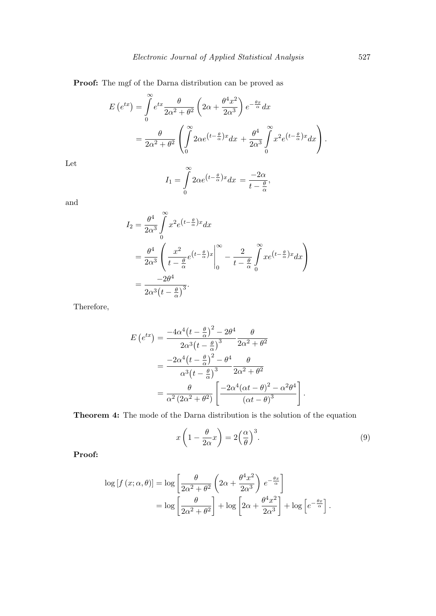Proof: The mgf of the Darna distribution can be proved as

$$
E(e^{tx}) = \int_{0}^{\infty} e^{tx} \frac{\theta}{2\alpha^2 + \theta^2} \left(2\alpha + \frac{\theta^4 x^2}{2\alpha^3}\right) e^{-\frac{\theta x}{\alpha}} dx
$$
  
= 
$$
\frac{\theta}{2\alpha^2 + \theta^2} \left(\int_{0}^{\infty} 2\alpha e^{(t - \frac{\theta}{\alpha})x} dx + \frac{\theta^4}{2\alpha^3} \int_{0}^{\infty} x^2 e^{(t - \frac{\theta}{\alpha})x} dx\right).
$$

Let

$$
I_1 = \int_{0}^{\infty} 2\alpha e^{(t - \frac{\theta}{\alpha})x} dx = \frac{-2\alpha}{t - \frac{\theta}{\alpha}},
$$

and

$$
I_2 = \frac{\theta^4}{2\alpha^3} \int_0^\infty x^2 e^{(t-\frac{\theta}{\alpha})x} dx
$$
  
=  $\frac{\theta^4}{2\alpha^3} \left( \frac{x^2}{t - \frac{\theta}{\alpha}} e^{(t-\frac{\theta}{\alpha})x} \Big|_0^\infty - \frac{2}{t - \frac{\theta}{\alpha}} \int_0^\infty x e^{(t-\frac{\theta}{\alpha})x} dx \right)$   
=  $\frac{-2\theta^4}{2\alpha^3 (t - \frac{\theta}{\alpha})^3}.$ 

Therefore,

$$
E\left(e^{tx}\right) = \frac{-4\alpha^4 \left(t - \frac{\theta}{\alpha}\right)^2 - 2\theta^4}{2\alpha^3 \left(t - \frac{\theta}{\alpha}\right)^3} \frac{\theta}{2\alpha^2 + \theta^2}
$$

$$
= \frac{-2\alpha^4 \left(t - \frac{\theta}{\alpha}\right)^2 - \theta^4}{\alpha^3 \left(t - \frac{\theta}{\alpha}\right)^3} \frac{\theta}{2\alpha^2 + \theta^2}
$$

$$
= \frac{\theta}{\alpha^2 \left(2\alpha^2 + \theta^2\right)} \left[\frac{-2\alpha^4 \left(\alpha t - \theta\right)^2 - \alpha^2 \theta^4}{\left(\alpha t - \theta\right)^3}\right].
$$

Theorem 4: The mode of the Darna distribution is the solution of the equation

$$
x\left(1 - \frac{\theta}{2\alpha}x\right) = 2\left(\frac{\alpha}{\theta}\right)^3.
$$
\n(9)

Proof:

$$
\log [f (x; \alpha, \theta)] = \log \left[ \frac{\theta}{2\alpha^2 + \theta^2} \left( 2\alpha + \frac{\theta^4 x^2}{2\alpha^3} \right) e^{-\frac{\theta x}{\alpha}} \right]
$$
  
=  $\log \left[ \frac{\theta}{2\alpha^2 + \theta^2} \right] + \log \left[ 2\alpha + \frac{\theta^4 x^2}{2\alpha^3} \right] + \log \left[ e^{-\frac{\theta x}{\alpha}} \right].$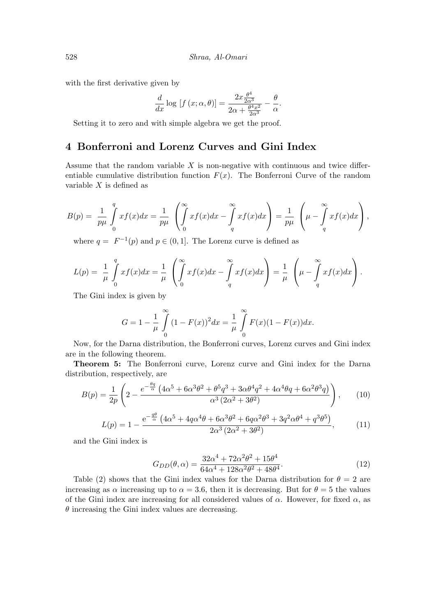with the first derivative given by

$$
\frac{d}{dx}\log[f(x;\alpha,\theta)] = \frac{2x\frac{\theta^4}{2\alpha^3}}{2\alpha + \frac{\theta^4 x^2}{2\alpha^3}} - \frac{\theta}{\alpha}.
$$

Setting it to zero and with simple algebra we get the proof.

## 4 Bonferroni and Lorenz Curves and Gini Index

Assume that the random variable  $X$  is non-negative with continuous and twice differentiable cumulative distribution function  $F(x)$ . The Bonferroni Curve of the random variable  $X$  is defined as

$$
B(p) = \frac{1}{p\mu} \int\limits_0^q x f(x) dx = \frac{1}{p\mu} \left( \int\limits_0^\infty x f(x) dx - \int\limits_q^\infty x f(x) dx \right) = \frac{1}{p\mu} \left( \mu - \int\limits_q^\infty x f(x) dx \right),
$$

where  $q = F^{-1}(p)$  and  $p \in (0, 1]$ . The Lorenz curve is defined as

$$
L(p) = \frac{1}{\mu} \int_{0}^{q} x f(x) dx = \frac{1}{\mu} \left( \int_{0}^{\infty} x f(x) dx - \int_{q}^{\infty} x f(x) dx \right) = \frac{1}{\mu} \left( \mu - \int_{q}^{\infty} x f(x) dx \right).
$$

The Gini index is given by

$$
G = 1 - \frac{1}{\mu} \int_{0}^{\infty} (1 - F(x))^2 dx = \frac{1}{\mu} \int_{0}^{\infty} F(x)(1 - F(x)) dx.
$$

Now, for the Darna distribution, the Bonferroni curves, Lorenz curves and Gini index are in the following theorem.

Theorem 5: The Bonferroni curve, Lorenz curve and Gini index for the Darna distribution, respectively, are

$$
B(p) = \frac{1}{2p} \left( 2 - \frac{e^{-\frac{\theta q}{\alpha}} \left( 4\alpha^5 + 6\alpha^3 \theta^2 + \theta^5 q^3 + 3\alpha \theta^4 q^2 + 4\alpha^4 \theta q + 6\alpha^2 \theta^3 q \right)}{\alpha^3 \left( 2\alpha^2 + 3\theta^2 \right)} \right), \tag{10}
$$

$$
L(p) = 1 - \frac{e^{-\frac{q\theta}{\alpha}} \left(4\alpha^5 + 4q\alpha^4\theta + 6\alpha^3\theta^2 + 6q\alpha^2\theta^3 + 3q^2\alpha\theta^4 + q^3\theta^5\right)}{2\alpha^3 \left(2\alpha^2 + 3\theta^2\right)},
$$
 (11)

and the Gini index is

$$
G_{DD}(\theta,\alpha) = \frac{32\alpha^4 + 72\alpha^2\theta^2 + 15\theta^4}{64\alpha^4 + 128\alpha^2\theta^2 + 48\theta^4}.
$$
\n(12)

Table (2) shows that the Gini index values for the Darna distribution for  $\theta = 2$  are increasing as  $\alpha$  increasing up to  $\alpha = 3.6$ , then it is decreasing. But for  $\theta = 5$  the values of the Gini index are increasing for all considered values of  $\alpha$ . However, for fixed  $\alpha$ , as  $\theta$  increasing the Gini index values are decreasing.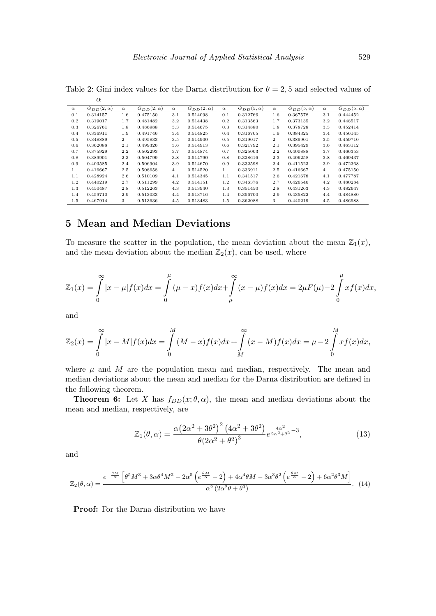|              | u                  |                |                    |                |                    |              |                    |                |                    |                |                    |
|--------------|--------------------|----------------|--------------------|----------------|--------------------|--------------|--------------------|----------------|--------------------|----------------|--------------------|
| $\alpha$     | $G_{DD}(2,\alpha)$ | $\alpha$       | $G_{DD}(2,\alpha)$ | $\alpha$       | $G_{DD}(2,\alpha)$ | $\alpha$     | $G_{DD}(5,\alpha)$ | $\alpha$       | $G_{DD}(5,\alpha)$ | $\alpha$       | $G_{DD}(5,\alpha)$ |
| 0.1          | 0.314157           | 1.6            | 0.475150           | 3.1            | 0.514098           | 0.1          | 0.312766           | 1.6            | 0.367578           | 3.1            | 0.444452           |
| 0.2          | 0.319017           | 1.7            | 0.481482           | 3.2            | 0.514438           | 0.2          | 0.313563           | 1.7            | 0.373135           | 3.2            | 0.448517           |
| 0.3          | 0.326761           | 1.8            | 0.486988           | 3.3            | 0.514675           | 0.3          | 0.314880           | 1.8            | 0.378728           | 3.3            | 0.452414           |
| $0.4\,$      | 0.336911           | 1.9            | 0.491746           | 3.4            | 0.514825           | 0.4          | 0.316705           | 1.9            | 0.384325           | 3.4            | 0.456145           |
| 0.5          | 0.348889           | $\overline{2}$ | 0.495833           | 3.5            | 0.514900           | 0.5          | 0.319017           | $\overline{2}$ | 0.389901           | 3.5            | 0.459710           |
| 0.6          | 0.362088           | 2.1            | 0.499326           | 3.6            | 0.514913           | 0.6          | 0.321792           | 2.1            | 0.395429           | 3.6            | 0.463112           |
| 0.7          | 0.375929           | 2.2            | 0.502293           | 3.7            | 0.514874           | 0.7          | 0.325003           | 2.2            | 0.400888           | 3.7            | 0.466353           |
| 0.8          | 0.389901           | 2.3            | 0.504799           | 3.8            | 0.514790           | 0.8          | 0.328616           | 2.3            | 0.406258           | 3.8            | 0.469437           |
| 0.9          | 0.403585           | 2.4            | 0.506904           | 3.9            | 0.514670           | 0.9          | 0.332598           | 2.4            | 0.411523           | 3.9            | 0.472368           |
| $\mathbf{1}$ | 0.416667           | $2.5\,$        | 0.508658           | $\overline{4}$ | 0.514520           | $\mathbf{1}$ | 0.336911           | 2.5            | 0.416667           | $\overline{4}$ | 0.475150           |
| 1.1          | 0.428924           | 2.6            | 0.510109           | 4.1            | 0.514345           | 1.1          | 0.341517           | 2.6            | 0.421678           | 4.1            | 0.477787           |
| 1.2          | 0.440219           | 2.7            | 0.511299           | 4.2            | 0.514151           | 1.2          | 0.346376           | 2.7            | 0.426546           | 4.2            | 0.480284           |
| 1.3          | 0.450487           | 2.8            | 0.512263           | 4.3            | 0.513940           | 1.3          | 0.351450           | 2.8            | 0.431263           | 4.3            | 0.482647           |
| 1.4          | 0.459710           | 2.9            | 0.513033           | 4.4            | 0.513716           | 1.4          | 0.356700           | 2.9            | 0.435822           | 4.4            | 0.484880           |
| 1.5          | 0.467914           | 3              | 0.513636           | 4.5            | 0.513483           | 1.5          | 0.362088           | 3              | 0.440219           | 4.5            | 0.486988           |

Table 2: Gini index values for the Darna distribution for  $\theta = 2, 5$  and selected values of α

# 5 Mean and Median Deviations

To measure the scatter in the population, the mean deviation about the mean  $\mathbb{Z}_1(x)$ , and the mean deviation about the median  $\mathbb{Z}_2(x)$ , can be used, where

$$
\mathbb{Z}_1(x) = \int_{0}^{\infty} |x - \mu| f(x) dx = \int_{0}^{\mu} (\mu - x) f(x) dx + \int_{\mu}^{\infty} (x - \mu) f(x) dx = 2\mu F(\mu) - 2 \int_{0}^{\mu} x f(x) dx,
$$

and

$$
\mathbb{Z}_2(x) = \int_{0}^{\infty} |x - M| f(x) dx = \int_{0}^{M} (M - x) f(x) dx + \int_{M}^{\infty} (x - M) f(x) dx = \mu - 2 \int_{0}^{M} x f(x) dx,
$$

where  $\mu$  and M are the population mean and median, respectively. The mean and median deviations about the mean and median for the Darna distribution are defined in the following theorem.

**Theorem 6:** Let X has  $f_{DD}(x; \theta, \alpha)$ , the mean and median deviations about the mean and median, respectively, are

$$
\mathbb{Z}_1(\theta,\alpha) = \frac{\alpha \left(2\alpha^2 + 3\theta^2\right)^2 \left(4\alpha^2 + 3\theta^2\right)}{\theta \left(2\alpha^2 + \theta^2\right)^3} e^{\frac{4\alpha^2}{2\alpha^2 + \theta^2} - 3},\tag{13}
$$

and

$$
\mathbb{Z}_2(\theta,\alpha) = \frac{e^{-\frac{\theta M}{\alpha}} \left[\theta^5 M^3 + 3\alpha \theta^4 M^2 - 2\alpha^5 \left(e^{\frac{\theta M}{\alpha}} - 2\right) + 4\alpha^4 \theta M - 3\alpha^3 \theta^2 \left(e^{\frac{\theta M}{\alpha}} - 2\right) + 6\alpha^2 \theta^3 M\right]}{\alpha^2 \left(2\alpha^2 \theta + \theta^3\right)}.
$$
(14)

Proof: For the Darna distribution we have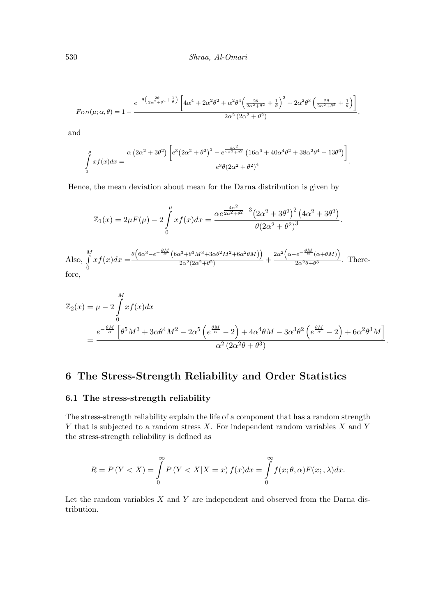$$
F_{DD}(\mu;\alpha,\theta) = 1 - \frac{e^{-\theta\left(\frac{2\theta}{2\alpha^2+\theta^2} + \frac{1}{\theta}\right)} \left[4\alpha^4 + 2\alpha^2\theta^2 + \alpha^2\theta^4 \left(\frac{2\theta}{2\alpha^2+\theta^2} + \frac{1}{\theta}\right)^2 + 2\alpha^2\theta^3 \left(\frac{2\theta}{2\alpha^2+\theta^2} + \frac{1}{\theta}\right)\right]}{2\alpha^2 \left(2\alpha^2 + \theta^2\right)},
$$

and

$$
\int_{0}^{\mu} x f(x) dx = \frac{\alpha (2\alpha^2 + 3\theta^2) \left[ e^3 (2\alpha^2 + \theta^2)^3 - e^{\frac{4\alpha^2}{2\alpha^2 + \theta^2}} (16\alpha^6 + 40\alpha^4 \theta^2 + 38\alpha^2 \theta^4 + 13\theta^6) \right]}{e^3 \theta (2\alpha^2 + \theta^2)^4}.
$$

Hence, the mean deviation about mean for the Darna distribution is given by

$$
\mathbb{Z}_1(x) = 2\mu F(\mu) - 2\int_0^{\mu} x f(x) dx = \frac{\alpha e^{\frac{4\alpha^2}{2\alpha^2 + \theta^2} - 3} (2\alpha^2 + 3\theta^2)^2 (4\alpha^2 + 3\theta^2)}{\theta (2\alpha^2 + \theta^2)^3}.
$$
  

$$
M = \theta (6\alpha^3 - e^{-\frac{\theta M}{\alpha}} (6\alpha^3 + \theta^3 M^3 + 3\alpha\theta^2 M^2 + 6\alpha^2 \theta M)) - 2\alpha^2 (\alpha - e^{-\frac{\theta M}{\alpha}} (\alpha + \theta M))
$$

Also,  $\int_0^M$ 0  $xf(x)dx = \frac{\theta \left(6\alpha^3 - e^{-\frac{\theta M}{\alpha}}(6\alpha^3 + \theta^3 M^3 + 3\alpha\theta^2 M^2 + 6\alpha^2\theta M)\right)}{2\alpha^2(2\alpha^2 + \theta^2)}$  $\left(\frac{2\alpha^2+ \theta^3 M^3+3\alpha \theta^2 M^2+6\alpha^2 \theta M)}{2\alpha^2(2\alpha^2+\theta^2)}\right) + \frac{2\alpha^2 \left(\alpha-e^{-\frac{\theta M}{\alpha}}(\alpha+\theta M)\right)}{2\alpha^2 \theta+\theta^3}$  $\frac{\sqrt{2\alpha^2\theta+\theta^3}}{2\alpha^2\theta+\theta^3}$ . Therefore,

$$
\mathbb{Z}_2(x) = \mu - 2 \int_0^M x f(x) dx
$$
  
= 
$$
\frac{e^{-\frac{\theta M}{\alpha}} \left[ \theta^5 M^3 + 3\alpha \theta^4 M^2 - 2\alpha^5 \left( e^{\frac{\theta M}{\alpha}} - 2 \right) + 4\alpha^4 \theta M - 3\alpha^3 \theta^2 \left( e^{\frac{\theta M}{\alpha}} - 2 \right) + 6\alpha^2 \theta^3 M \right]}{\alpha^2 (2\alpha^2 \theta + \theta^3)}
$$

.

# 6 The Stress-Strength Reliability and Order Statistics

#### 6.1 The stress-strength reliability

The stress-strength reliability explain the life of a component that has a random strength  $Y$  that is subjected to a random stress  $X$ . For independent random variables  $X$  and  $Y$ the stress-strength reliability is defined as

$$
R = P(Y < X) = \int_{0}^{\infty} P(Y < X | X = x) f(x) dx = \int_{0}^{\infty} f(x; \theta, \alpha) F(x; \alpha) dx.
$$

Let the random variables  $X$  and  $Y$  are independent and observed from the Darna distribution.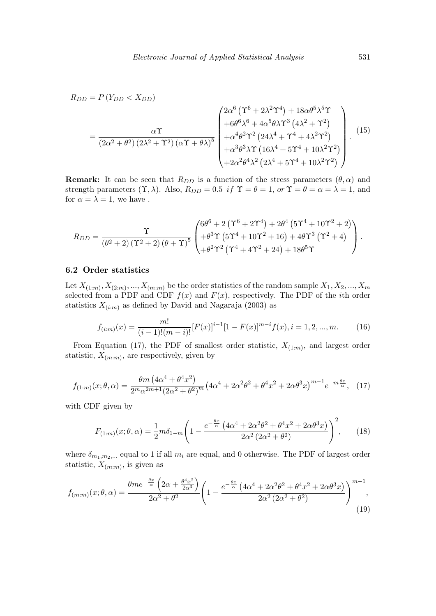$$
R_{DD} = P(Y_{DD} < X_{DD})
$$
\n
$$
= \frac{\alpha \Upsilon}{(2\alpha^2 + \theta^2)(2\lambda^2 + \Upsilon^2)(\alpha \Upsilon + \theta \lambda)^5} \begin{pmatrix} 2\alpha^6 (\Upsilon^6 + 2\lambda^2 \Upsilon^4) + 18\alpha \theta^5 \lambda^5 \Upsilon \\ + 6\theta^6 \lambda^6 + 4\alpha^5 \theta \lambda \Upsilon^3 (4\lambda^2 + \Upsilon^2) \\ + \alpha^4 \theta^2 \Upsilon^2 (24\lambda^4 + \Upsilon^4 + 4\lambda^2 \Upsilon^2) \\ + \alpha^3 \theta^3 \lambda \Upsilon (16\lambda^4 + 5\Upsilon^4 + 10\lambda^2 \Upsilon^2) \\ + 2\alpha^2 \theta^4 \lambda^2 (2\lambda^4 + 5\Upsilon^4 + 10\lambda^2 \Upsilon^2) \end{pmatrix} . \tag{15}
$$

**Remark:** It can be seen that  $R_{DD}$  is a function of the stress parameters  $(\theta, \alpha)$  and strength parameters  $(\Upsilon, \lambda)$ . Also,  $R_{DD} = 0.5$  if  $\Upsilon = \theta = 1$ , or  $\Upsilon = \theta = \alpha = \lambda = 1$ , and for  $\alpha = \lambda = 1$ , we have.

$$
R_{DD}=\frac{\Upsilon}{\left(\theta^2+2\right)\left(\Upsilon^2+2\right)\left(\theta+\Upsilon\right)^5}\begin{pmatrix} 6\theta^6+2\left(\Upsilon^6+2\Upsilon^4\right)+2\theta^4\left(5\Upsilon^4+10\Upsilon^2+2\right) \\ +\theta^3\Upsilon\left(5\Upsilon^4+10\Upsilon^2+16\right)+4\theta\Upsilon^3\left(\Upsilon^2+4\right) \\ +\theta^2\Upsilon^2\left(\Upsilon^4+4\Upsilon^2+24\right)+18\theta^5\Upsilon \end{pmatrix}.
$$

#### 6.2 Order statistics

Let  $X_{(1:m)}, X_{(2:m)},..., X_{(m:m)}$  be the order statistics of the random sample  $X_1, X_2, ..., X_m$ selected from a PDF and CDF  $f(x)$  and  $F(x)$ , respectively. The PDF of the *i*th order statistics  $X_{(i:m)}$  as defined by David and Nagaraja (2003) as

$$
f_{(i:m)}(x) = \frac{m!}{(i-1)!(m-i)!} [F(x)]^{i-1} [1 - F(x)]^{m-i} f(x), i = 1, 2, ..., m.
$$
 (16)

From Equation (17), the PDF of smallest order statistic,  $X_{(1:m)}$ , and largest order statistic,  $X_{(m:m)}$ , are respectively, given by

$$
f_{(1:m)}(x; \theta, \alpha) = \frac{\theta m \left(4\alpha^4 + \theta^4 x^2\right)}{2^m \alpha^{2m+1} \left(2\alpha^2 + \theta^2\right)^m} \left(4\alpha^4 + 2\alpha^2\theta^2 + \theta^4 x^2 + 2\alpha\theta^3 x\right)^{m-1} e^{-m\frac{\theta x}{\alpha}}, \tag{17}
$$

with CDF given by

$$
F_{(1:m)}(x; \theta, \alpha) = \frac{1}{2} m \delta_{1-m} \left( 1 - \frac{e^{-\frac{\theta x}{\alpha}} \left( 4\alpha^4 + 2\alpha^2 \theta^2 + \theta^4 x^2 + 2\alpha \theta^3 x \right)}{2\alpha^2 \left( 2\alpha^2 + \theta^2 \right)} \right)^2, \quad (18)
$$

where  $\delta_{m_1,m_2,...}$  equal to 1 if all  $m_i$  are equal, and 0 otherwise. The PDF of largest order statistic,  $X_{(m:m)}$ , is given as

$$
f_{(m:m)}(x;\theta,\alpha) = \frac{\theta m e^{-\frac{\theta x}{\alpha}} \left(2\alpha + \frac{\theta^4 x^2}{2\alpha^3}\right)}{2\alpha^2 + \theta^2} \left(1 - \frac{e^{-\frac{\theta x}{\alpha}} \left(4\alpha^4 + 2\alpha^2 \theta^2 + \theta^4 x^2 + 2\alpha \theta^3 x\right)}{2\alpha^2 \left(2\alpha^2 + \theta^2\right)}\right)^{m-1},\tag{19}
$$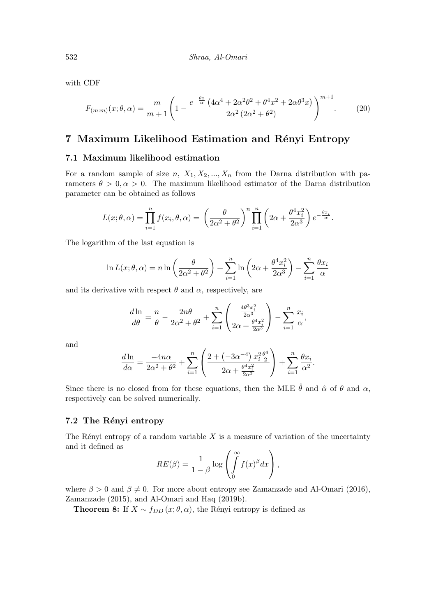with CDF

$$
F_{(m:m)}(x; \theta, \alpha) = \frac{m}{m+1} \left( 1 - \frac{e^{-\frac{\theta x}{\alpha} \left( 4\alpha^4 + 2\alpha^2 \theta^2 + \theta^4 x^2 + 2\alpha \theta^3 x \right)}{2\alpha^2 (2\alpha^2 + \theta^2)} \right)^{m+1} . \tag{20}
$$

## 7 Maximum Likelihood Estimation and Rényi Entropy

#### 7.1 Maximum likelihood estimation

For a random sample of size n,  $X_1, X_2, ..., X_n$  from the Darna distribution with parameters  $\theta > 0$ ,  $\alpha > 0$ . The maximum likelihood estimator of the Darna distribution parameter can be obtained as follows

$$
L(x; \theta, \alpha) = \prod_{i=1}^{n} f(x_i, \theta, \alpha) = \left(\frac{\theta}{2\alpha^2 + \theta^2}\right)^n \prod_{i=1}^{n} \left(2\alpha + \frac{\theta^4 x_i^2}{2\alpha^3}\right) e^{-\frac{\theta x_i}{\alpha}}.
$$

The logarithm of the last equation is

$$
\ln L(x; \theta, \alpha) = n \ln \left( \frac{\theta}{2\alpha^2 + \theta^2} \right) + \sum_{i=1}^n \ln \left( 2\alpha + \frac{\theta^4 x_i^2}{2\alpha^3} \right) - \sum_{i=1}^n \frac{\theta x_i}{\alpha}
$$

and its derivative with respect  $\theta$  and  $\alpha$ , respectively, are

$$
\frac{d\ln}{d\theta} = \frac{n}{\theta} - \frac{2n\theta}{2\alpha^2 + \theta^2} + \sum_{i=1}^n \left(\frac{\frac{4\theta^3 x_i^2}{2\alpha^3}}{2\alpha + \frac{\theta^4 x_i^2}{2\alpha^3}}\right) - \sum_{i=1}^n \frac{x_i}{\alpha},
$$

and

$$
\frac{d \ln}{d \alpha} = \frac{-4n\alpha}{2\alpha^2 + \theta^2} + \sum_{i=1}^n \left( \frac{2 + (-3\alpha^{-4}) x_i^2 \frac{\theta^4}{2}}{2\alpha + \frac{\theta^4 x_i^2}{2\alpha^3}} \right) + \sum_{i=1}^n \frac{\theta x_i}{\alpha^2}.
$$

Since there is no closed from for these equations, then the MLE  $\hat{\theta}$  and  $\hat{\alpha}$  of  $\theta$  and  $\alpha$ , respectively can be solved numerically.

#### 7.2 The Rényi entropy

The Rényi entropy of a random variable  $X$  is a measure of variation of the uncertainty and it defined as  $\sim$ 

$$
RE(\beta) = \frac{1}{1-\beta} \log \left( \int_{0}^{\infty} f(x)^{\beta} dx \right),
$$

where  $\beta > 0$  and  $\beta \neq 0$ . For more about entropy see Zamanzade and Al-Omari (2016), Zamanzade (2015), and Al-Omari and Haq (2019b).

**Theorem 8:** If  $X \sim f_{DD}(x; \theta, \alpha)$ , the Rényi entropy is defined as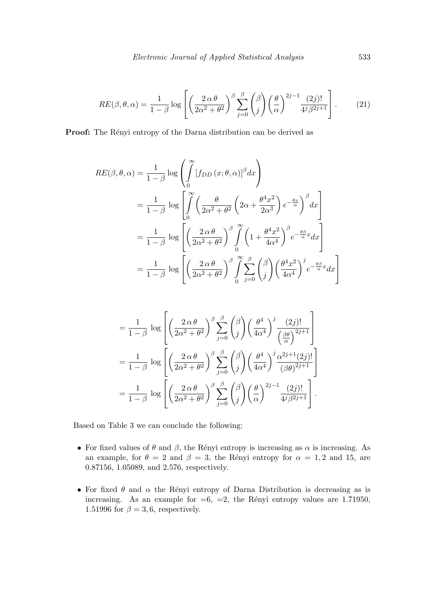$$
RE(\beta, \theta, \alpha) = \frac{1}{1 - \beta} \log \left[ \left( \frac{2 \alpha \theta}{2\alpha^2 + \theta^2} \right)^{\beta} \sum_{j=0}^{\beta} {\binom{\beta}{j}} {\left( \frac{\theta}{\alpha} \right)}^{2j-1} \frac{(2j)!}{4^j \beta^{2j+1}} \right].
$$
 (21)

**Proof:** The Rényi entropy of the Darna distribution can be derived as

$$
RE(\beta, \theta, \alpha) = \frac{1}{1 - \beta} \log \left( \int_{0}^{\infty} [f_{DD}(x; \theta, \alpha)]^{\beta} dx \right)
$$
  
=  $\frac{1}{1 - \beta} \log \left[ \int_{0}^{\infty} \left( \frac{\theta}{2\alpha^{2} + \theta^{2}} \left( 2\alpha + \frac{\theta^{4} x^{2}}{2\alpha^{3}} \right) e^{-\frac{\theta x}{\alpha}} \right)^{\beta} dx \right]$   
=  $\frac{1}{1 - \beta} \log \left[ \left( \frac{2\alpha \theta}{2\alpha^{2} + \theta^{2}} \right)^{\beta} \int_{0}^{\infty} \left( 1 + \frac{\theta^{4} x^{2}}{4\alpha^{4}} \right)^{\beta} e^{-\frac{\theta \beta}{\alpha} x} dx \right]$   
=  $\frac{1}{1 - \beta} \log \left[ \left( \frac{2\alpha \theta}{2\alpha^{2} + \theta^{2}} \right)^{\beta} \int_{0}^{\infty} \sum_{j=0}^{\beta} \binom{\beta}{j} \left( \frac{\theta^{4} x^{2}}{4\alpha^{4}} \right)^{j} e^{-\frac{\theta \beta}{\alpha} x} dx \right]$ 

$$
= \frac{1}{1-\beta} \log \left[ \left( \frac{2 \alpha \theta}{2\alpha^2 + \theta^2} \right)^{\beta} \sum_{j=0}^{\beta} {\beta \choose j} \left( \frac{\theta^4}{4\alpha^4} \right)^j \frac{(2j)!}{\left( \frac{\beta \theta}{\alpha} \right)^{2j+1}} \right]
$$
  

$$
= \frac{1}{1-\beta} \log \left[ \left( \frac{2 \alpha \theta}{2\alpha^2 + \theta^2} \right)^{\beta} \sum_{j=0}^{\beta} {\beta \choose j} \left( \frac{\theta^4}{4\alpha^4} \right)^j \frac{\alpha^{2j+1} (2j)!}{(\beta \theta)^{2j+1}} \right]
$$
  

$$
= \frac{1}{1-\beta} \log \left[ \left( \frac{2 \alpha \theta}{2\alpha^2 + \theta^2} \right)^{\beta} \sum_{j=0}^{\beta} {\beta \choose j} \left( \frac{\theta}{\alpha} \right)^{2j-1} \frac{(2j)!}{4^j \beta^{2j+1}} \right].
$$

Based on Table 3 we can conclude the following:

- For fixed values of  $\theta$  and  $\beta$ , the Rényi entropy is increasing as  $\alpha$  is increasing. As an example, for  $\theta = 2$  and  $\beta = 3$ , the Rényi entropy for  $\alpha = 1, 2$  and 15, are 0.87156, 1.05089, and 2.576, respectively.
- For fixed  $\theta$  and  $\alpha$  the Rényi entropy of Darna Distribution is decreasing as is increasing. As an example for  $=6$ ,  $=2$ , the Rényi entropy values are 1.71950, 1.51996 for  $\beta = 3, 6$ , respectively.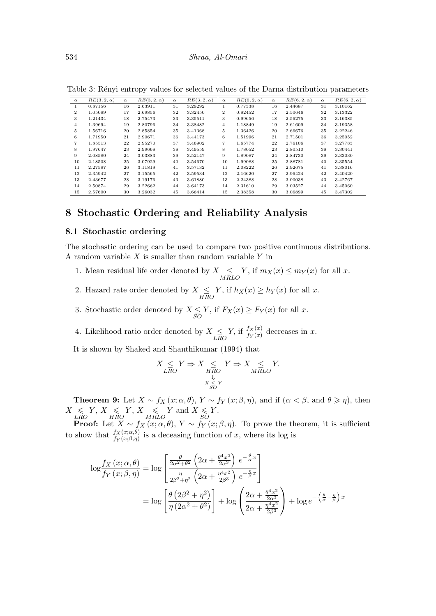| $\alpha$       | $RE(3, 2, \alpha)$ | $\alpha$ | $RE(3, 2, \alpha)$ | $\alpha$ | $RE(3, 2, \alpha)$ | $\alpha$       | $RE(6, 2, \alpha)$ | $\alpha$ | $RE(6, 2, \alpha)$ | $\alpha$ | $RE(6, 2, \alpha)$ |
|----------------|--------------------|----------|--------------------|----------|--------------------|----------------|--------------------|----------|--------------------|----------|--------------------|
| 1              | 0.87156            | 16       | 2.63911            | 31       | 3.29292            | $\perp$        | 0.77338            | 16       | 2.44687            | 31       | 3.10162            |
| $\overline{2}$ | 1.05089            | 17       | 2.69856            | 32       | 3.32450            | $\mathbf{2}$   | 0.82452            | 17       | 2.50646            | 32       | 3.13322            |
| 3              | 1.21434            | 18       | 2.75473            | 33       | 3.35511            | 3              | 0.99656            | 18       | 2.56275            | 33       | 3.16385            |
| $\overline{4}$ | 1.39694            | 19       | 2.80796            | 34       | 3.38482            | $\overline{4}$ | 1.18849            | 19       | 2.61609            | 34       | 3.19358            |
| 5              | 1.56716            | 20       | 2.85854            | 35       | 3.41368            | 5              | 1.36426            | 20       | 2.66676            | 35       | 3.22246            |
| 6              | 1.71950            | 21       | 2.90671            | 36       | 3.44173            | 6              | 1.51996            | 21       | 2.71501            | 36       | 3.25052            |
| $\overline{7}$ | 1.85513            | 22       | 2.95270            | 37       | 3.46902            |                | 1.65774            | 22       | 2.76106            | 37       | 3.27783            |
| 8              | 1.97647            | 23       | 2.99668            | 38       | 3.49559            | 8              | 1.78052            | 23       | 2.80510            | 38       | 3.30441            |
| 9              | 2.08580            | 24       | 3.03883            | 39       | 3.52147            | 9              | 1.89087            | 24       | 2.84730            | 39       | 3.33030            |
| 10             | 2.18508            | 25       | 3.07929            | 40       | 3.54670            | 10             | 1.99088            | 25       | 2.88781            | 40       | 3.35554            |
| 11             | 2.27587            | 26       | 3.11819            | 41       | 3.57132            | 11             | 2.08222            | 26       | 2.92675            | 41       | 3.38016            |
| 12             | 2.35942            | 27       | 3.15565            | 42       | 3.59534            | 12             | 2.16620            | 27       | 2.96424            | 42       | 3.40420            |
| 13             | 2.43677            | 28       | 3.19176            | 43       | 3.61880            | 13             | 2.24388            | 28       | 3.00038            | 43       | 3.42767            |
| 14             | 2.50874            | 29       | 3.22662            | 44       | 3.64173            | 14             | 2.31610            | 29       | 3.03527            | 44       | 3.45060            |
| 15             | 2.57600            | 30       | 3.26032            | 45       | 3.66414            | 15             | 2.38358            | 30       | 3.06899            | 45       | 3.47302            |

Table 3: Rényi entropy values for selected values of the Darna distribution parameters

# 8 Stochastic Ordering and Reliability Analysis

#### 8.1 Stochastic ordering

The stochastic ordering can be used to compare two positive continuous distributions. A random variable  $X$  is smaller than random variable  $Y$  in

- 1. Mean residual life order denoted by  $X \leq$  $\leq$  Y, if  $m_X(x) \leq m_Y(x)$  for all x.
- 2. Hazard rate order denoted by  $X \leq$  $\leq Y$ , if  $h_X(x) \geq h_Y(x)$  for all x.
- 3. Stochastic order denoted by  $X \leq$  $\leq Y$ , if  $F_X(x) \geq F_Y(x)$  for all x.
- 4. Likelihood ratio order denoted by  $X \leq$ LRO Y, if  $\frac{f_X(x)}{f_Y(x)}$  decreases in x.

It is shown by Shaked and Shanthikumar (1994) that

$$
X \underset{X \underset{S}{\downarrow} Y}{\leq} Y \Rightarrow X \underset{HRO}{\leq} Y \Rightarrow X \underset{MRLO}{\leq} Y.
$$

**Theorem 9:** Let  $X \sim f_X(x; \alpha, \theta), Y \sim f_Y(x; \beta, \eta)$ , and if  $(\alpha < \beta, \text{ and } \theta \geq \eta)$ , then  $X \leq$ LRO  $Y, X \leq$ HRO  $Y, X \leq$ MRLO  $Y$  and  $X \leqslant$ SO  $Y.$ 

**Proof:** Let  $X \sim f_X(x; \alpha, \theta), Y \sim f_Y(x; \beta, \eta)$ . To prove the theorem, it is sufficient to show that  $\frac{f_X(x;\alpha,\theta)}{f_Y(x;\beta,\eta)}$  is a deceasing function of x, where its log is

$$
\log \frac{f_X(x;\alpha,\theta)}{f_Y(x;\beta,\eta)} = \log \left[ \frac{\frac{\theta}{2\alpha^2 + \theta^2} \left(2\alpha + \frac{\theta^4 x^2}{2\alpha^3}\right) e^{-\frac{\theta}{\alpha}x}}{\frac{\eta}{2\beta^2 + \eta^2} \left(2\alpha + \frac{\eta^4 x^2}{2\beta^3}\right) e^{-\frac{\eta}{\beta}x}} \right]
$$
  
= 
$$
\log \left[ \frac{\theta \left(2\beta^2 + \eta^2\right)}{\eta \left(2\alpha^2 + \theta^2\right)} \right] + \log \left( \frac{2\alpha + \frac{\theta^4 x^2}{2\alpha^3}}{2\alpha + \frac{\eta^4 x^2}{2\beta^3}} \right) + \log e^{-\left(\frac{\theta}{\alpha} - \frac{\eta}{\beta}\right)x}
$$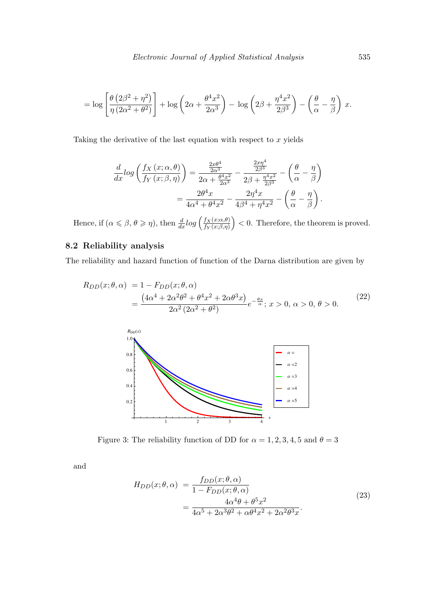$$
= \log \left[ \frac{\theta (2\beta^2 + \eta^2)}{\eta (2\alpha^2 + \theta^2)} \right] + \log \left( 2\alpha + \frac{\theta^4 x^2}{2\alpha^3} \right) - \log \left( 2\beta + \frac{\eta^4 x^2}{2\beta^3} \right) - \left( \frac{\theta}{\alpha} - \frac{\eta}{\beta} \right) x.
$$

Taking the derivative of the last equation with respect to  $x$  yields

$$
\frac{d}{dx}\log\left(\frac{f_X(x;\alpha,\theta)}{f_Y(x;\beta,\eta)}\right) = \frac{\frac{2x\theta^4}{2\alpha^3}}{2\alpha + \frac{\theta^4 x^2}{2\alpha^3}} - \frac{\frac{2x\eta^4}{2\beta^3}}{2\beta + \frac{\eta^4 x^2}{2\beta^3}} - \left(\frac{\theta}{\alpha} - \frac{\eta}{\beta}\right)
$$

$$
= \frac{2\theta^4 x}{4\alpha^4 + \theta^4 x^2} - \frac{2\eta^4 x}{4\beta^4 + \eta^4 x^2} - \left(\frac{\theta}{\alpha} - \frac{\eta}{\beta}\right).
$$

Hence, if  $(\alpha \leq \beta, \theta \geq \eta)$ , then  $\frac{d}{dx} log \left( \frac{f_X(x; \alpha, \theta)}{f_Y(x; \beta, \eta)} \right)$  $f_Y(x;\beta,\eta)$  $( ) < 0$ . Therefore, the theorem is proved.

## 8.2 Reliability analysis

The reliability and hazard function of function of the Darna distribution are given by

$$
R_{DD}(x; \theta, \alpha) = 1 - F_{DD}(x; \theta, \alpha)
$$
  
= 
$$
\frac{(4\alpha^4 + 2\alpha^2\theta^2 + \theta^4x^2 + 2\alpha\theta^3x)}{2\alpha^2(2\alpha^2 + \theta^2)}e^{-\frac{\theta x}{\alpha}}; x > 0, \alpha > 0, \theta > 0.
$$
 (22)



Figure 3: The reliability function of DD for  $\alpha = 1, 2, 3, 4, 5$  and  $\theta = 3$ 

and

$$
H_{DD}(x; \theta, \alpha) = \frac{f_{DD}(x; \theta, \alpha)}{1 - F_{DD}(x; \theta, \alpha)}
$$
  
= 
$$
\frac{4\alpha^4 \theta + \theta^5 x^2}{4\alpha^5 + 2\alpha^3 \theta^2 + \alpha \theta^4 x^2 + 2\alpha^2 \theta^3 x}.
$$
 (23)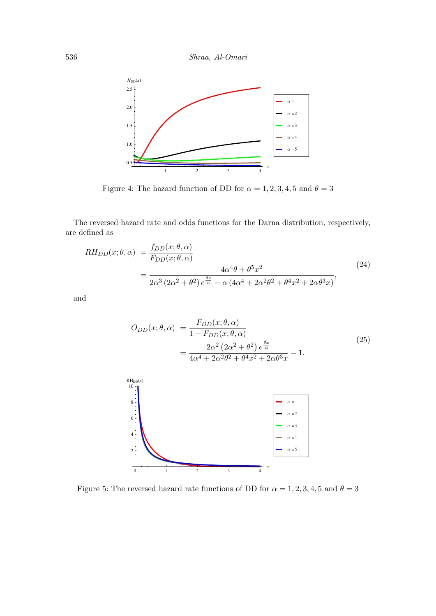536 Shraa, Al-Omari



Figure 4: The hazard function of DD for  $\alpha = 1, 2, 3, 4, 5$  and  $\theta = 3$ 

The reversed hazard rate and odds functions for the Darna distribution, respectively, are defined as

$$
RH_{DD}(x;\theta,\alpha) = \frac{f_{DD}(x;\theta,\alpha)}{F_{DD}(x;\theta,\alpha)}
$$
  
= 
$$
\frac{4\alpha^4\theta + \theta^5 x^2}{2\alpha^3 (2\alpha^2 + \theta^2) e^{\frac{\theta x}{\alpha}} - \alpha (4\alpha^4 + 2\alpha^2\theta^2 + \theta^4 x^2 + 2\alpha\theta^3 x)},
$$
(24)

and

$$
O_{DD}(x; \theta, \alpha) = \frac{F_{DD}(x; \theta, \alpha)}{1 - F_{DD}(x; \theta, \alpha)}
$$
  
= 
$$
\frac{2\alpha^2 (2\alpha^2 + \theta^2) e^{\frac{\theta x}{\alpha}}}{4\alpha^4 + 2\alpha^2 \theta^2 + \theta^4 x^2 + 2\alpha \theta^3 x} - 1.
$$
 (25)



Figure 5: The reversed hazard rate functions of DD for  $\alpha=1,2,3,4,5$  and  $\theta=3$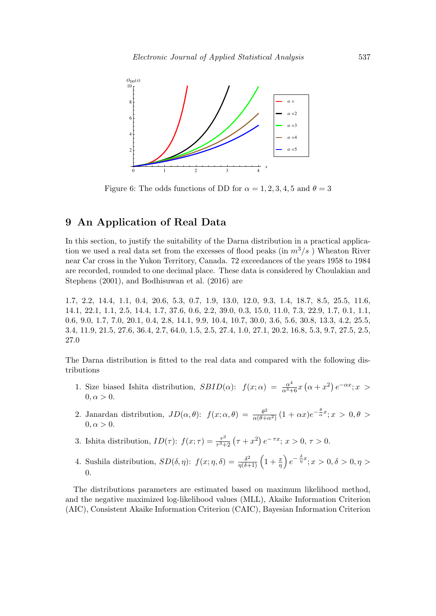

Figure 6: The odds functions of DD for  $\alpha = 1, 2, 3, 4, 5$  and  $\theta = 3$ 

# 9 An Application of Real Data

In this section, to justify the suitability of the Darna distribution in a practical application we used a real data set from the excesses of flood peaks (in  $m^3/s$ ) Wheaton River near Car cross in the Yukon Territory, Canada. 72 exceedances of the years 1958 to 1984 are recorded, rounded to one decimal place. These data is considered by Choulakian and Stephens (2001), and Bodhisuwan et al. (2016) are

1.7, 2.2, 14.4, 1.1, 0.4, 20.6, 5.3, 0.7, 1.9, 13.0, 12.0, 9.3, 1.4, 18.7, 8.5, 25.5, 11.6, 14.1, 22.1, 1.1, 2.5, 14.4, 1.7, 37.6, 0.6, 2.2, 39.0, 0.3, 15.0, 11.0, 7.3, 22.9, 1.7, 0.1, 1.1, 0.6, 9.0, 1.7, 7.0, 20.1, 0.4, 2.8, 14.1, 9.9, 10.4, 10.7, 30.0, 3.6, 5.6, 30.8, 13.3, 4.2, 25.5, 3.4, 11.9, 21.5, 27.6, 36.4, 2.7, 64.0, 1.5, 2.5, 27.4, 1.0, 27.1, 20.2, 16.8, 5.3, 9.7, 27.5, 2.5, 27.0

The Darna distribution is fitted to the real data and compared with the following distributions

- 1. Size biased Ishita distribution,  $SBID(\alpha)$ :  $f(x; \alpha) = \frac{\alpha^4}{\alpha^3 + 6}x(\alpha + x^2)e^{-\alpha x}; x >$  $0, \alpha > 0.$
- 2. Janardan distribution,  $JD(\alpha, \theta)$ :  $f(x; \alpha, \theta) = \frac{\theta^2}{\alpha(\theta + \theta)}$  $\frac{\theta^2}{\alpha(\theta+\alpha^2)}(1+\alpha x)e^{-\frac{\theta}{\alpha}x}; x > 0, \theta >$  $0, \alpha > 0.$
- 3. Ishita distribution,  $ID(\tau)$ :  $f(x;\tau) = \frac{\tau^3}{\tau^3}$  $\frac{\tau^3}{\tau^3+2}(\tau+x^2)\,e^{-\,\tau x};\,x>0,\,\tau>0.$
- 4. Sushila distribution,  $SD(\delta, \eta)$ :  $f(x; \eta, \delta) = \frac{\delta^2}{\eta(\delta+1)} \left(1 + \frac{x}{\eta}\right) e^{-\frac{\delta}{\eta}x}$ ;  $x > 0, \delta > 0, \eta >$ 0.

The distributions parameters are estimated based on maximum likelihood method, and the negative maximized log-likelihood values (MLL), Akaike Information Criterion (AIC), Consistent Akaike Information Criterion (CAIC), Bayesian Information Criterion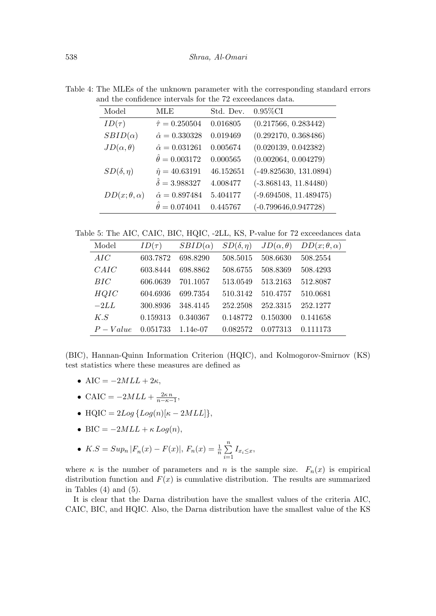Table 4: The MLEs of the unknown parameter with the corresponding standard errors and the confidence intervals for the 72 exceedances data.

| Model                   | MLE                        | Std. Dev. | $0.95\%$ CI              |
|-------------------------|----------------------------|-----------|--------------------------|
| $ID(\tau)$              | $\hat{\tau} = 0.250504$    | 0.016805  | (0.217566, 0.283442)     |
| $SBID(\alpha)$          | $\hat{\alpha} = 0.330328$  | 0.019469  | (0.292170, 0.368486)     |
| $JD(\alpha, \theta)$    | $\hat{\alpha} = 0.031261$  | 0.005674  | (0.020139, 0.042382)     |
|                         | $\hat{\theta} = 0.003172$  | 0.000565  | (0.002064, 0.004279)     |
| $SD(\delta, \eta)$      | $\hat{\eta} = 40.63191$    | 46.152651 | $(-49.825630, 131.0894)$ |
|                         | $\hat{\delta} = 3.988327$  | 4.008477  | $(-3.868143, 11.84480)$  |
| $DD(x; \theta, \alpha)$ | $\hat{\alpha} = 0.897484$  | 5.404177  | $(-9.694508, 11.489475)$ |
|                         | $\ddot{\theta} = 0.074041$ | 0.445767  | $(-0.799646, 0.947728)$  |

Table 5: The AIC, CAIC, BIC, HQIC, -2LL, KS, P-value for 72 exceedances data

| Model     | $ID(\tau)$ | $SBID(\alpha)$ | $SD(\delta, \eta)$ | $JD(\alpha, \theta)$ | $DD(x; \theta, \alpha)$ |
|-----------|------------|----------------|--------------------|----------------------|-------------------------|
| AIC       | 603.7872   | 698.8290       | 508.5015           | 508.6630             | 508.2554                |
| CAIC      | 603.8444   | 698.8862       | 508.6755           | 508.8369             | 508.4293                |
| BIC       | 606.0639   | 701.1057       | 513.0549           | 513.2163             | 512.8087                |
| HQIC      | 604.6936   | 699.7354       | 510.3142           | 510.4757             | 510.0681                |
| $-2LL$    | 300.8936   | 348.4145       | 252.2508           | 252.3315             | 252.1277                |
| K.S       | 0.159313   | 0.340367       | 0.148772           | 0.150300             | 0.141658                |
| $P-Value$ | 0.051733   | 1.14e-07       | 0.082572           | 0.077313             | 0.111173                |

(BIC), Hannan-Quinn Information Criterion (HQIC), and Kolmogorov-Smirnov (KS) test statistics where these measures are defined as

- AIC =  $-2MLL + 2\kappa$ ,
- CAIC =  $-2MLL + \frac{2\kappa n}{n-\kappa-1}$ ,
- HQIC =  $2Log\{Log(n)[\kappa 2MLL]\},$
- BIC =  $-2MLL + \kappa Log(n)$ ,

• 
$$
K.S = Sup_n |F_n(x) - F(x)|
$$
,  $F_n(x) = \frac{1}{n} \sum_{i=1}^n I_{x_i \leq x}$ ,

where  $\kappa$  is the number of parameters and n is the sample size.  $F_n(x)$  is empirical distribution function and  $F(x)$  is cumulative distribution. The results are summarized in Tables  $(4)$  and  $(5)$ .

It is clear that the Darna distribution have the smallest values of the criteria AIC, CAIC, BIC, and HQIC. Also, the Darna distribution have the smallest value of the KS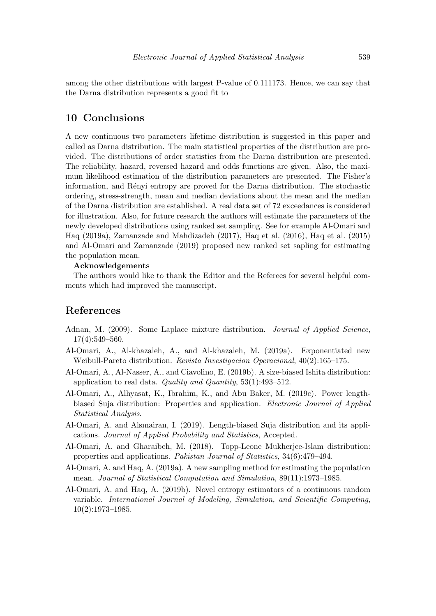among the other distributions with largest P-value of 0.111173. Hence, we can say that the Darna distribution represents a good fit to

### 10 Conclusions

A new continuous two parameters lifetime distribution is suggested in this paper and called as Darna distribution. The main statistical properties of the distribution are provided. The distributions of order statistics from the Darna distribution are presented. The reliability, hazard, reversed hazard and odds functions are given. Also, the maximum likelihood estimation of the distribution parameters are presented. The Fisher's information, and Rényi entropy are proved for the Darna distribution. The stochastic ordering, stress-strength, mean and median deviations about the mean and the median of the Darna distribution are established. A real data set of 72 exceedances is considered for illustration. Also, for future research the authors will estimate the parameters of the newly developed distributions using ranked set sampling. See for example Al-Omari and Haq (2019a), Zamanzade and Mahdizadeh (2017), Haq et al. (2016), Haq et al. (2015) and Al-Omari and Zamanzade (2019) proposed new ranked set sapling for estimating the population mean.

#### Acknowledgements

The authors would like to thank the Editor and the Referees for several helpful comments which had improved the manuscript.

## References

- Adnan, M. (2009). Some Laplace mixture distribution. *Journal of Applied Science*, 17(4):549–560.
- Al-Omari, A., Al-khazaleh, A., and Al-khazaleh, M. (2019a). Exponentiated new Weibull-Pareto distribution. Revista Investigacion Operacional, 40(2):165–175.
- Al-Omari, A., Al-Nasser, A., and Ciavolino, E. (2019b). A size-biased Ishita distribution: application to real data. Quality and Quantity,  $53(1):493-512$ .
- Al-Omari, A., Alhyasat, K., Ibrahim, K., and Abu Baker, M. (2019c). Power lengthbiased Suja distribution: Properties and application. Electronic Journal of Applied Statistical Analysis.
- Al-Omari, A. and Alsmairan, I. (2019). Length-biased Suja distribution and its applications. Journal of Applied Probability and Statistics, Accepted.
- Al-Omari, A. and Gharaibeh, M. (2018). Topp-Leone Mukherjee-Islam distribution: properties and applications. Pakistan Journal of Statistics, 34(6):479–494.
- Al-Omari, A. and Haq, A. (2019a). A new sampling method for estimating the population mean. Journal of Statistical Computation and Simulation, 89(11):1973–1985.
- Al-Omari, A. and Haq, A. (2019b). Novel entropy estimators of a continuous random variable. International Journal of Modeling, Simulation, and Scientific Computing,  $10(2):1973-1985.$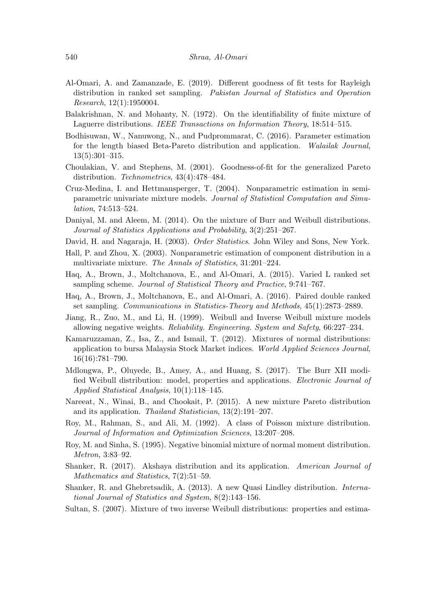- Al-Omari, A. and Zamanzade, E. (2019). Different goodness of fit tests for Rayleigh distribution in ranked set sampling. Pakistan Journal of Statistics and Operation Research, 12(1):1950004.
- Balakrishnan, N. and Mohanty, N. (1972). On the identifiability of finite mixture of Laguerre distributions. IEEE Transactions on Information Theory, 18:514–515.
- Bodhisuwan, W., Nanuwong, N., and Pudprommarat, C. (2016). Parameter estimation for the length biased Beta-Pareto distribution and application. Walailak Journal, 13(5):301–315.
- Choulakian, V. and Stephens, M. (2001). Goodness-of-fit for the generalized Pareto distribution. Technometrics, 43(4):478–484.
- Cruz-Medina, I. and Hettmansperger, T. (2004). Nonparametric estimation in semiparametric univariate mixture models. Journal of Statistical Computation and Simulation, 74:513–524.
- Daniyal, M. and Aleem, M. (2014). On the mixture of Burr and Weibull distributions. Journal of Statistics Applications and Probability, 3(2):251–267.
- David, H. and Nagaraja, H. (2003). Order Statistics. John Wiley and Sons, New York.
- Hall, P. and Zhou, X. (2003). Nonparametric estimation of component distribution in a multivariate mixture. The Annals of Statistics, 31:201–224.
- Haq, A., Brown, J., Moltchanova, E., and Al-Omari, A. (2015). Varied L ranked set sampling scheme. Journal of Statistical Theory and Practice, 9:741–767.
- Haq, A., Brown, J., Moltchanova, E., and Al-Omari, A. (2016). Paired double ranked set sampling. Communications in Statistics-Theory and Methods, 45(1):2873–2889.
- Jiang, R., Zuo, M., and Li, H. (1999). Weibull and Inverse Weibull mixture models allowing negative weights. Reliability. Engineering. System and Safety, 66:227–234.
- Kamaruzzaman, Z., Isa, Z., and Ismail, T. (2012). Mixtures of normal distributions: application to bursa Malaysia Stock Market indices. World Applied Sciences Journal, 16(16):781–790.
- Mdlongwa, P., Oluyede, B., Amey, A., and Huang, S. (2017). The Burr XII modified Weibull distribution: model, properties and applications. Electronic Journal of Applied Statistical Analysis, 10(1):118–145.
- Nareeat, N., Winai, B., and Chookait, P. (2015). A new mixture Pareto distribution and its application. Thailand Statistician, 13(2):191–207.
- Roy, M., Rahman, S., and Ali, M. (1992). A class of Poisson mixture distribution. Journal of Information and Optimization Sciences, 13:207–208.
- Roy, M. and Sinha, S. (1995). Negative binomial mixture of normal moment distribution. Metron, 3:83–92.
- Shanker, R. (2017). Akshaya distribution and its application. American Journal of Mathematics and Statistics, 7(2):51–59.
- Shanker, R. and Ghebretsadik, A. (2013). A new Quasi Lindley distribution. International Journal of Statistics and System, 8(2):143–156.
- Sultan, S. (2007). Mixture of two inverse Weibull distributions: properties and estima-